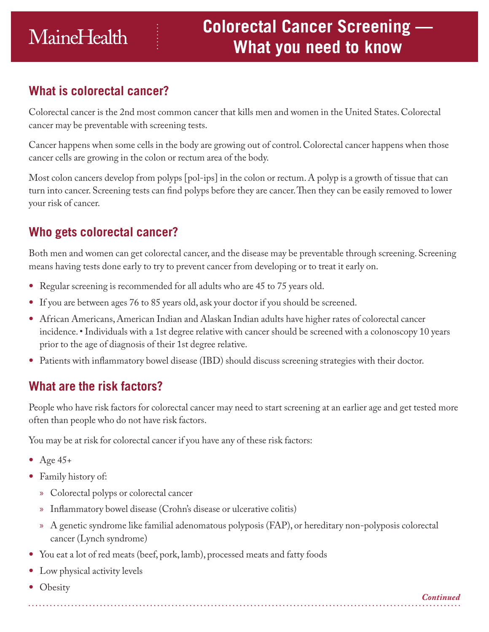# **What is colorectal cancer?**

Colorectal cancer is the 2nd most common cancer that kills men and women in the United States. Colorectal cancer may be preventable with screening tests.

Cancer happens when some cells in the body are growing out of control. Colorectal cancer happens when those cancer cells are growing in the colon or rectum area of the body.

Most colon cancers develop from polyps [pol-ips] in the colon or rectum. A polyp is a growth of tissue that can turn into cancer. Screening tests can find polyps before they are cancer. Then they can be easily removed to lower your risk of cancer.

# **Who gets colorectal cancer?**

Both men and women can get colorectal cancer, and the disease may be preventable through screening. Screening means having tests done early to try to prevent cancer from developing or to treat it early on.

- Regular screening is recommended for all adults who are 45 to 75 years old.
- If you are between ages 76 to 85 years old, ask your doctor if you should be screened.
- African Americans, American Indian and Alaskan Indian adults have higher rates of colorectal cancer incidence. • Individuals with a 1st degree relative with cancer should be screened with a colonoscopy 10 years prior to the age of diagnosis of their 1st degree relative.
- Patients with inflammatory bowel disease (IBD) should discuss screening strategies with their doctor.

# **What are the risk factors?**

People who have risk factors for colorectal cancer may need to start screening at an earlier age and get tested more often than people who do not have risk factors.

You may be at risk for colorectal cancer if you have any of these risk factors:

- Age  $45+$
- Family history of:
	- » Colorectal polyps or colorectal cancer
	- » Inflammatory bowel disease (Crohn's disease or ulcerative colitis)
	- » A genetic syndrome like familial adenomatous polyposis (FAP), or hereditary non-polyposis colorectal cancer (Lynch syndrome)
- You eat a lot of red meats (beef, pork, lamb), processed meats and fatty foods
- Low physical activity levels
- Obesity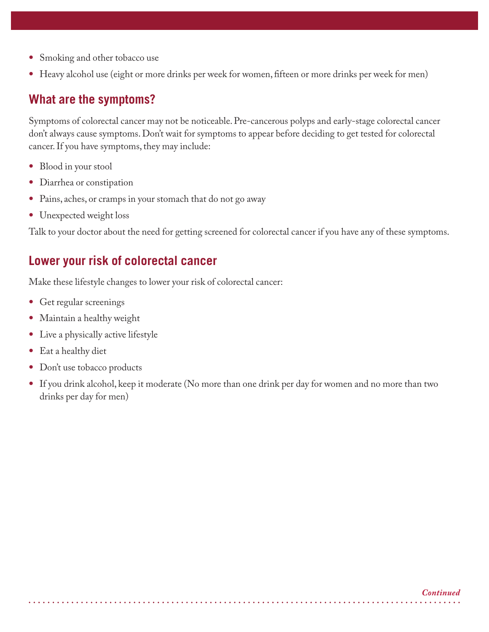- Smoking and other tobacco use
- Heavy alcohol use (eight or more drinks per week for women, fifteen or more drinks per week for men)

# **What are the symptoms?**

Symptoms of colorectal cancer may not be noticeable. Pre-cancerous polyps and early-stage colorectal cancer don't always cause symptoms. Don't wait for symptoms to appear before deciding to get tested for colorectal cancer. If you have symptoms, they may include:

- Blood in your stool
- Diarrhea or constipation
- Pains, aches, or cramps in your stomach that do not go away
- Unexpected weight loss

Talk to your doctor about the need for getting screened for colorectal cancer if you have any of these symptoms.

# **Lower your risk of colorectal cancer**

Make these lifestyle changes to lower your risk of colorectal cancer:

- Get regular screenings
- Maintain a healthy weight
- Live a physically active lifestyle
- Eat a healthy diet
- Don't use tobacco products
- If you drink alcohol, keep it moderate (No more than one drink per day for women and no more than two drinks per day for men)